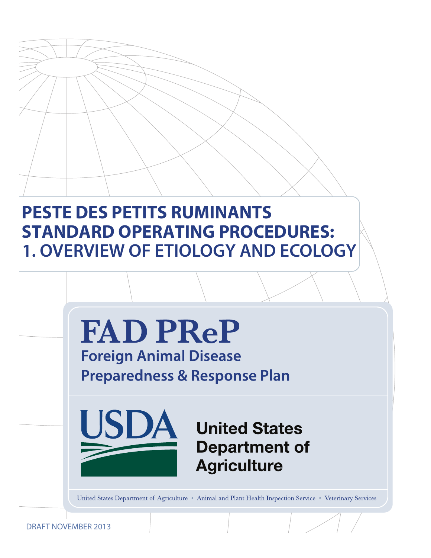# **PESTE DES PETITS RUMINANTS STANDARD OPERATING PROCEDURES: 1. OVERVIEW OF ETIOLOGY AND ECOLOGY**



DRAFT NOVEMBER 2013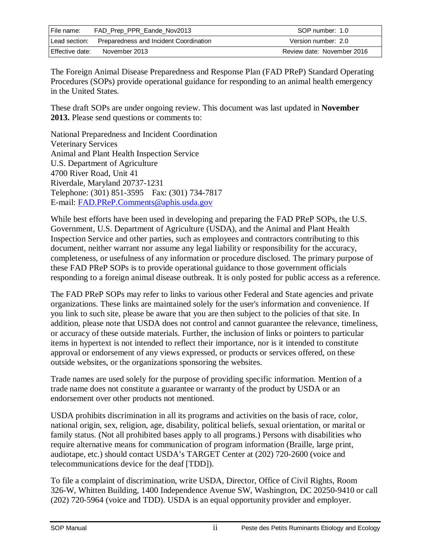| File name:      | FAD_Prep_PPR_Eande_Nov2013             | SOP number: 1.0            |
|-----------------|----------------------------------------|----------------------------|
| Lead section:   | Preparedness and Incident Coordination | Version number: 2.0        |
| Effective date: | November 2013                          | Review date: November 2016 |

The Foreign Animal Disease Preparedness and Response Plan (FAD PReP) Standard Operating Procedures (SOPs) provide operational guidance for responding to an animal health emergency in the United States.

These draft SOPs are under ongoing review. This document was last updated in **November 2013.** Please send questions or comments to:

National Preparedness and Incident Coordination Veterinary Services Animal and Plant Health Inspection Service U.S. Department of Agriculture 4700 River Road, Unit 41 Riverdale, Maryland 20737-1231 Telephone: (301) 851-3595 Fax: (301) 734-7817 E-mail: [FAD.PReP.Comments@aphis.usda.gov](mailto:FAD.PReP.Comments@aphis.usda.gov)

While best efforts have been used in developing and preparing the FAD PReP SOPs, the U.S. Government, U.S. Department of Agriculture (USDA), and the Animal and Plant Health Inspection Service and other parties, such as employees and contractors contributing to this document, neither warrant nor assume any legal liability or responsibility for the accuracy, completeness, or usefulness of any information or procedure disclosed. The primary purpose of these FAD PReP SOPs is to provide operational guidance to those government officials responding to a foreign animal disease outbreak. It is only posted for public access as a reference.

The FAD PReP SOPs may refer to links to various other Federal and State agencies and private organizations. These links are maintained solely for the user's information and convenience. If you link to such site, please be aware that you are then subject to the policies of that site. In addition, please note that USDA does not control and cannot guarantee the relevance, timeliness, or accuracy of these outside materials. Further, the inclusion of links or pointers to particular items in hypertext is not intended to reflect their importance, nor is it intended to constitute approval or endorsement of any views expressed, or products or services offered, on these outside websites, or the organizations sponsoring the websites.

Trade names are used solely for the purpose of providing specific information. Mention of a trade name does not constitute a guarantee or warranty of the product by USDA or an endorsement over other products not mentioned.

USDA prohibits discrimination in all its programs and activities on the basis of race, color, national origin, sex, religion, age, disability, political beliefs, sexual orientation, or marital or family status. (Not all prohibited bases apply to all programs.) Persons with disabilities who require alternative means for communication of program information (Braille, large print, audiotape, etc.) should contact USDA's TARGET Center at (202) 720-2600 (voice and telecommunications device for the deaf [TDD]).

To file a complaint of discrimination, write USDA, Director, Office of Civil Rights, Room 326-W, Whitten Building, 1400 Independence Avenue SW, Washington, DC 20250-9410 or call (202) 720-5964 (voice and TDD). USDA is an equal opportunity provider and employer.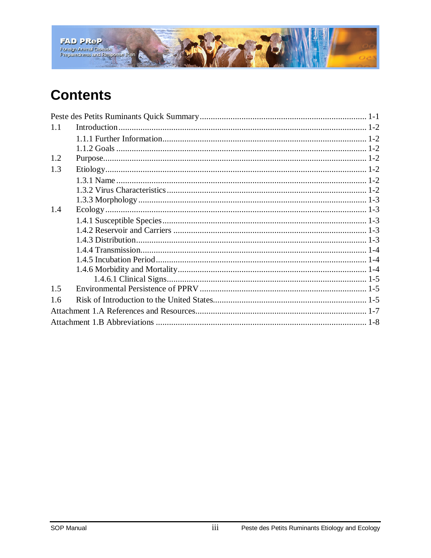

## **Contents**

| 1.1 |  |
|-----|--|
|     |  |
|     |  |
| 1.2 |  |
| 1.3 |  |
|     |  |
|     |  |
|     |  |
| 1.4 |  |
|     |  |
|     |  |
|     |  |
|     |  |
|     |  |
|     |  |
|     |  |
| 1.5 |  |
| 1.6 |  |
|     |  |
|     |  |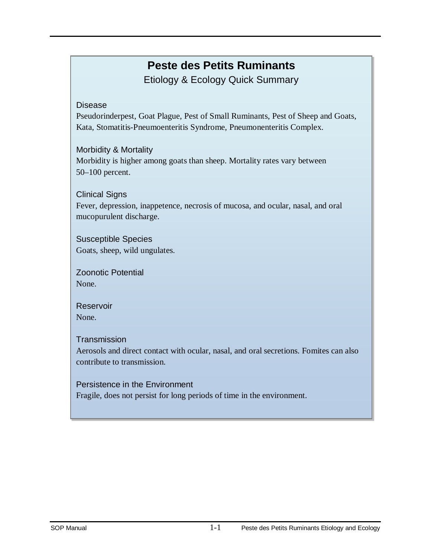## **Peste des Petits Ruminants**

Etiology & Ecology Quick Summary

#### <span id="page-3-0"></span>Disease

Pseudorinderpest, Goat Plague, Pest of Small Ruminants, Pest of Sheep and Goats, Kata, Stomatitis-Pneumoenteritis Syndrome, Pneumonenteritis Complex.

#### Morbidity & Mortality

Morbidity is higher among goats than sheep. Mortality rates vary between 50–100 percent.

#### Clinical Signs

Fever, depression, inappetence, necrosis of mucosa, and ocular, nasal, and oral mucopurulent discharge.

#### Susceptible Species Goats, sheep, wild ungulates.

Zoonotic Potential None.

Reservoir None.

#### **Transmission**

Aerosols and direct contact with ocular, nasal, and oral secretions. Fomites can also contribute to transmission.

#### Persistence in the Environment

Fragile, does not persist for long periods of time in the environment.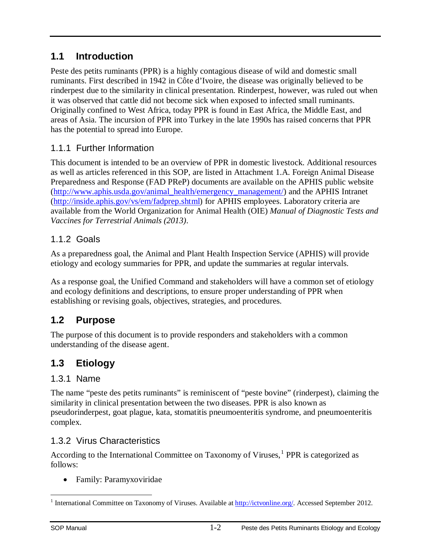## <span id="page-4-0"></span>**1.1 Introduction**

Peste des petits ruminants (PPR) is a highly contagious disease of wild and domestic small ruminants. First described in 1942 in Côte d'Ivoire, the disease was originally believed to be rinderpest due to the similarity in clinical presentation. Rinderpest, however, was ruled out when it was observed that cattle did not become sick when exposed to infected small ruminants. Originally confined to West Africa, today PPR is found in East Africa, the Middle East, and areas of Asia. The incursion of PPR into Turkey in the late 1990s has raised concerns that PPR has the potential to spread into Europe.

## <span id="page-4-1"></span>1.1.1 Further Information

This document is intended to be an overview of PPR in domestic livestock. Additional resources as well as articles referenced in this SOP, are listed in Attachment 1.A. Foreign Animal Disease Preparedness and Response (FAD PReP) documents are available on the APHIS public website [\(http://www.aphis.usda.gov/animal\\_health/emergency\\_management/\)](http://www.aphis.usda.gov/animal_health/emergency_management/) and the APHIS Intranet [\(http://inside.aphis.gov/vs/em/fadprep.shtml\)](http://inside.aphis.gov/vs/em/fadprep.shtml) for APHIS employees. Laboratory criteria are available from the World Organization for Animal Health (OIE) *Manual of Diagnostic Tests and Vaccines for Terrestrial Animals (2013)*.

### <span id="page-4-2"></span>1.1.2 Goals

As a preparedness goal, the Animal and Plant Health Inspection Service (APHIS) will provide etiology and ecology summaries for PPR, and update the summaries at regular intervals.

As a response goal, the Unified Command and stakeholders will have a common set of etiology and ecology definitions and descriptions, to ensure proper understanding of PPR when establishing or revising goals, objectives, strategies, and procedures.

## <span id="page-4-3"></span>**1.2 Purpose**

The purpose of this document is to provide responders and stakeholders with a common understanding of the disease agent.

## <span id="page-4-4"></span>**1.3 Etiology**

#### <span id="page-4-5"></span>1.3.1 Name

The name "peste des petits ruminants" is reminiscent of "peste bovine" (rinderpest), claiming the similarity in clinical presentation between the two diseases. PPR is also known as pseudorinderpest, goat plague, kata, stomatitis pneumoenteritis syndrome, and pneumoenteritis complex.

### <span id="page-4-6"></span>1.3.2 Virus Characteristics

According to the International Committee on Taxonomy of Viruses, $<sup>1</sup>$  $<sup>1</sup>$  $<sup>1</sup>$  PPR is categorized as</sup> follows:

• Family: Paramyxoviridae

<span id="page-4-7"></span><sup>&</sup>lt;sup>1</sup> International Committee on Taxonomy of Viruses. Available at **http://ictvonline.org/**. Accessed September 2012.  $\overline{a}$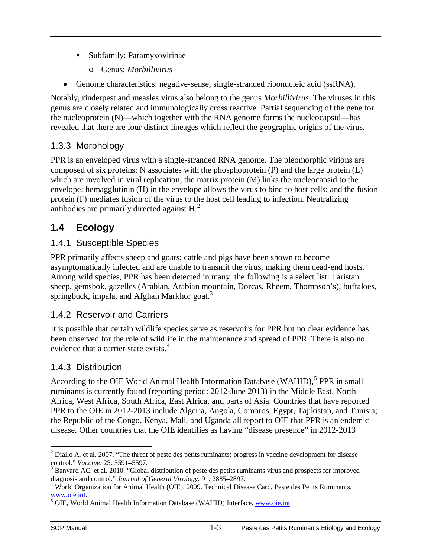- Subfamily: Paramyxovirinae
	- o Genus: *Morbillivirus*
- Genome characteristics: negative-sense, single-stranded ribonucleic acid (ssRNA).

Notably, rinderpest and measles virus also belong to the genus *Morbillivirus*. The viruses in this genus are closely related and immunologically cross reactive. Partial sequencing of the gene for the nucleoprotein (N)—which together with the RNA genome forms the nucleocapsid—has revealed that there are four distinct lineages which reflect the geographic origins of the virus.

## <span id="page-5-0"></span>1.3.3 Morphology

PPR is an enveloped virus with a single-stranded RNA genome. The pleomorphic virions are composed of six proteins: N associates with the phosphoprotein (P) and the large protein (L) which are involved in viral replication; the matrix protein  $(M)$  links the nucleocapsid to the envelope; hemagglutinin (H) in the envelope allows the virus to bind to host cells; and the fusion protein (F) mediates fusion of the virus to the host cell leading to infection. Neutralizing antibodies are primarily directed against  $H<sup>2</sup>$  $H<sup>2</sup>$  $H<sup>2</sup>$ .

## <span id="page-5-1"></span>**1.4 Ecology**

#### <span id="page-5-2"></span>1.4.1 Susceptible Species

PPR primarily affects sheep and goats; cattle and pigs have been shown to become asymptomatically infected and are unable to transmit the virus, making them dead-end hosts. Among wild species, PPR has been detected in many; the following is a select list: Laristan sheep, gemsbok, gazelles (Arabian, Arabian mountain, Dorcas, Rheem, Thompson's), buffaloes, springbuck, impala, and Afghan Markhor goat.<sup>[3](#page-5-6)</sup>

### <span id="page-5-3"></span>1.4.2 Reservoir and Carriers

It is possible that certain wildlife species serve as reservoirs for PPR but no clear evidence has been observed for the role of wildlife in the maintenance and spread of PPR. There is also no evidence that a carrier state exists.<sup>[4](#page-5-7)</sup>

### <span id="page-5-4"></span>1.4.3 Distribution

According to the OIE World Animal Health Information Database (WAHID),<sup>[5](#page-5-8)</sup> PPR in small ruminants is currently found (reporting period: 2012-June 2013) in the Middle East, North Africa, West Africa, South Africa, East Africa, and parts of Asia. Countries that have reported PPR to the OIE in 2012-2013 include Algeria, Angola, Comoros, Egypt, Tajikistan, and Tunisia; the Republic of the Congo, Kenya, Mali, and Uganda all report to OIE that PPR is an endemic disease. Other countries that the OIE identifies as having "disease presence" in 2012-2013

<span id="page-5-5"></span><sup>&</sup>lt;sup>2</sup> Diallo A, et al. 2007. "The threat of peste des petits ruminants: progress in vaccine development for disease  $\overline{a}$ 

<span id="page-5-6"></span>control." *Vaccine*. 25: 5591–5597.<br><sup>3</sup> Banyard AC, et al. 2010. "Global distribution of peste des petits ruminants virus and prospects for improved diagnosis and control." *Journal of General Virology*. 91: 2885–2897.

<span id="page-5-7"></span><sup>&</sup>lt;sup>4</sup> World Organization for Animal Health (OIE). 2009. Technical Disease Card. Peste des Petits Ruminants. [www.oie.int.](http://www.oie.int/) [5](http://www.oie.int/) OIE, World Animal Health Information Database (WAHID) Interface[. www.oie.int.](http://www.oie.int/)

<span id="page-5-8"></span>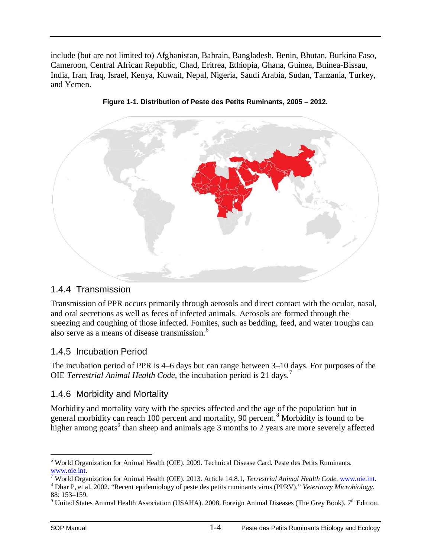include (but are not limited to) Afghanistan, Bahrain, Bangladesh, Benin, Bhutan, Burkina Faso, Cameroon, Central African Republic, Chad, Eritrea, Ethiopia, Ghana, Guinea, Buinea-Bissau, India, Iran, Iraq, Israel, Kenya, Kuwait, Nepal, Nigeria, Saudi Arabia, Sudan, Tanzania, Turkey, and Yemen.





#### <span id="page-6-0"></span>1.4.4 Transmission

Transmission of PPR occurs primarily through aerosols and direct contact with the ocular, nasal, and oral secretions as well as feces of infected animals. Aerosols are formed through the sneezing and coughing of those infected. Fomites, such as bedding, feed, and water troughs can also serve as a means of disease transmission.<sup>[6](#page-6-3)</sup>

### <span id="page-6-1"></span>1.4.5 Incubation Period

The incubation period of PPR is 4–6 days but can range between 3–10 days. For purposes of the OIE *Terrestrial Animal Health Code,* the incubation period is 21 days.[7](#page-6-4)

#### <span id="page-6-2"></span>1.4.6 Morbidity and Mortality

Morbidity and mortality vary with the species affected and the age of the population but in general morbidity can reach 100 percent and mortality, 90 percent.<sup>[8](#page-6-5)</sup> Morbidity is found to be higher among goats<sup>[9](#page-6-6)</sup> than sheep and animals age 3 months to 2 years are more severely affected

<span id="page-6-3"></span><sup>&</sup>lt;sup>6</sup> World Organization for Animal Health (OIE). 2009. Technical Disease Card. Peste des Petits Ruminants.  $\overline{a}$ 

<span id="page-6-5"></span><span id="page-6-4"></span>

 $\frac{www.oie.int.}{7}$  $\frac{www.oie.int.}{7}$  $\frac{www.oie.int.}{7}$  $\frac{www.oie.int.}{7}$  $\frac{www.oie.int.}{7}$  World Organization for Animal Health (OIE). 2013. Article 14.8.1, *Terrestrial Animal Health Code*. www.oie.int.<br><sup>8</sup> Dhar P, et al. 2002. "Recent epidemiology of peste des petits ruminants virus (PPRV)." *Ve* 

<span id="page-6-6"></span><sup>&</sup>lt;sup>9</sup> United States Animal Health Association (USAHA). 2008. Foreign Animal Diseases (The Grey Book). 7<sup>th</sup> Edition.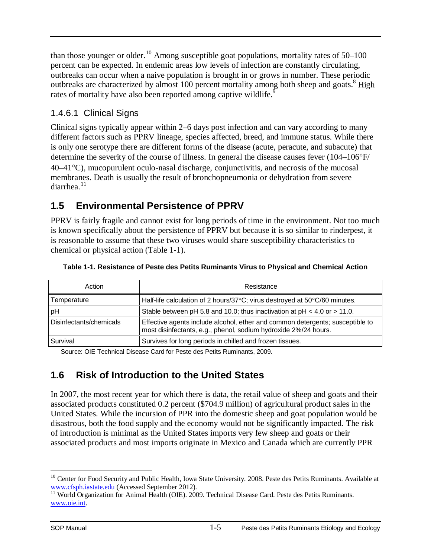than those younger or older.<sup>[10](#page-7-3)</sup> Among susceptible goat populations, mortality rates of  $50-100$ percent can be expected. In endemic areas low levels of infection are constantly circulating, outbreaks can occur when a naive population is brought in or grows in number. These periodic outbreaks are characterized by almost 100 percent mortality among both sheep and goats.<sup>8</sup> High rates of mortality have also been reported among captive wildlife.<sup>9</sup>

### <span id="page-7-0"></span>1.4.6.1 Clinical Signs

Clinical signs typically appear within 2–6 days post infection and can vary according to many different factors such as PPRV lineage, species affected, breed, and immune status. While there is only one serotype there are different forms of the disease (acute, peracute, and subacute) that determine the severity of the course of illness. In general the disease causes fever (104–106°F/ 40–41°C), mucopurulent oculo-nasal discharge, conjunctivitis, and necrosis of the mucosal membranes. Death is usually the result of bronchopneumonia or dehydration from severe diarrhea. $11$ 

## <span id="page-7-1"></span>**1.5 Environmental Persistence of PPRV**

PPRV is fairly fragile and cannot exist for long periods of time in the environment. Not too much is known specifically about the persistence of PPRV but because it is so similar to rinderpest, it is reasonable to assume that these two viruses would share susceptibility characteristics to chemical or physical action (Table 1-1).

| Action                  | Resistance                                                                                                                                       |
|-------------------------|--------------------------------------------------------------------------------------------------------------------------------------------------|
| Temperature             | Half-life calculation of 2 hours/37°C; virus destroyed at 50°C/60 minutes.                                                                       |
| pH                      | Stable between pH 5.8 and 10.0; thus inactivation at $pH < 4.0$ or $> 11.0$ .                                                                    |
| Disinfectants/chemicals | Effective agents include alcohol, ether and common detergents; susceptible to<br>most disinfectants, e.g., phenol, sodium hydroxide 2%/24 hours. |
| Survival                | Survives for long periods in chilled and frozen tissues.                                                                                         |

#### **Table 1-1. Resistance of Peste des Petits Ruminants Virus to Physical and Chemical Action**

Source: OIE Technical Disease Card for Peste des Petits Ruminants, 2009.

## <span id="page-7-2"></span>**1.6 Risk of Introduction to the United States**

In 2007, the most recent year for which there is data, the retail value of sheep and goats and their associated products constituted 0.2 percent (\$704.9 million) of agricultural product sales in the United States. While the incursion of PPR into the domestic sheep and goat population would be disastrous, both the food supply and the economy would not be significantly impacted. The risk of introduction is minimal as the United States imports very few sheep and goats or their associated products and most imports originate in Mexico and Canada which are currently PPR

<span id="page-7-3"></span><sup>&</sup>lt;sup>10</sup> Center for Food Security and Public Health, Iowa State University. 2008. Peste des Petits Ruminants. Available at www.cfsph.iastate.edu (Accessed September 2012).<br><sup>[11](http://www.cfsph.iastate.edu/)</sup> World Organization for Animal Health (OIE). 2009. Technical Disease Card. Peste des Petits Ruminants.  $\overline{a}$ 

<span id="page-7-4"></span>[www.oie.int.](http://www.oie.int/)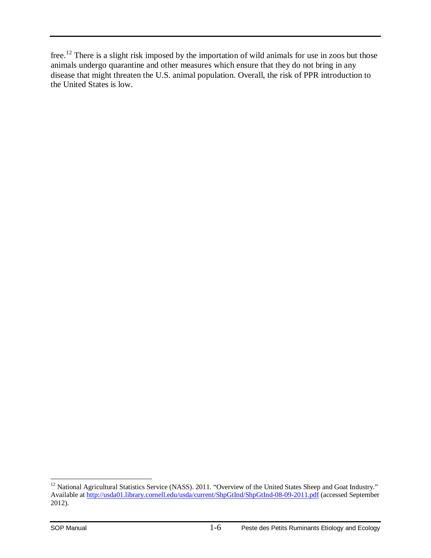free.<sup>[12](#page-8-0)</sup> There is a slight risk imposed by the importation of wild animals for use in zoos but those animals undergo quarantine and other measures which ensure that they do not bring in any disease that might threaten the U.S. animal population. Overall, the risk of PPR introduction to the United States is low.

<span id="page-8-0"></span> $12$  National Agricultural Statistics Service (NASS). 2011. "Overview of the United States Sheep and Goat Industry." Available at<http://usda01.library.cornell.edu/usda/current/ShpGtInd/ShpGtInd-08-09-2011.pdf> (accessed September 2012).  $\overline{a}$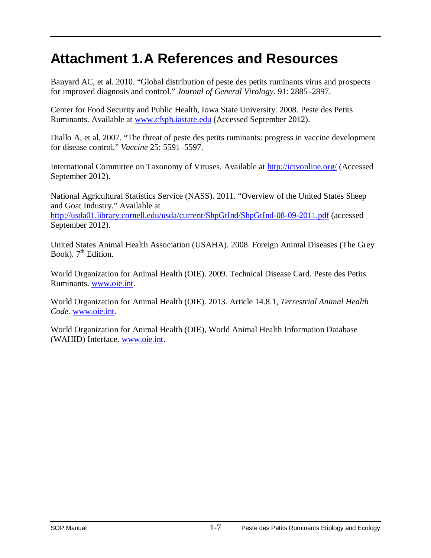## <span id="page-9-0"></span>**Attachment 1.A References and Resources**

Banyard AC, et al. 2010. "Global distribution of peste des petits ruminants virus and prospects for improved diagnosis and control." *Journal of General Virology*. 91: 2885–2897.

Center for Food Security and Public Health, Iowa State University. 2008. Peste des Petits Ruminants. Available at [www.cfsph.iastate.edu](http://www.cfsph.iastate.edu/) (Accessed September 2012).

Diallo A, et al. 2007. "The threat of peste des petits ruminants: progress in vaccine development for disease control." *Vaccine* 25: 5591–5597.

International Committee on Taxonomy of Viruses. Available at<http://ictvonline.org/> (Accessed September 2012).

National Agricultural Statistics Service (NASS). 2011. "Overview of the United States Sheep and Goat Industry." Available at <http://usda01.library.cornell.edu/usda/current/ShpGtInd/ShpGtInd-08-09-2011.pdf> (accessed September 2012).

United States Animal Health Association (USAHA). 2008. Foreign Animal Diseases (The Grey Book).  $7<sup>th</sup>$  Edition.

World Organization for Animal Health (OIE). 2009. Technical Disease Card. Peste des Petits Ruminants. [www.oie.int.](http://www.oie.int/)

World Organization for Animal Health (OIE). 2013. Article 14.8.1, *Terrestrial Animal Health Code.* [www.oie.int.](http://www.oie.int/)

World Organization for Animal Health (OIE), World Animal Health Information Database (WAHID) Interface. [www.oie.int.](http://www.oie.int/)